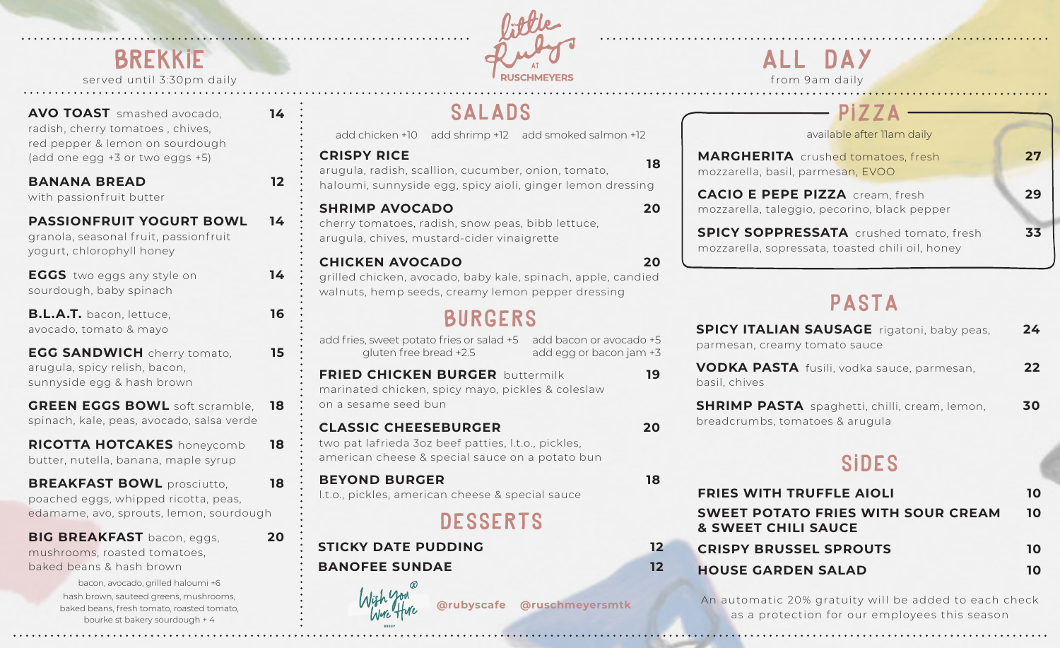# Brekkie

served until 3:30pm daily

| AVO TOAST smashed avocado,       |
|----------------------------------|
| radish, cherry tomatoes, chives, |
| red pepper & lemon on sourdough  |
| (add one egg +3 or two eggs +5)  |

**BANANA BREAD** with passionfruit butter

#### **PASSIONFRUIT YOGURT BOWL**

granola, seasonal fruit, passionfruit yogurt, chlorophyll honey

**EGGS** two eggs any style on sourdough, baby spinach

**B.L.A.T.** bacon, lettuce, avocado, tomato & mayo

**EGG SANDWICH** cherry tomato, arugula, spicy relish, bacon, sunnyside egg & hash brown

**GREEN EGGS BOWL** soft scramble, spinach, kale, peas, avocado, salsa verde

**RICOTTA HOTCAKES** honeycomb butter, nutella, banana, maple syrup

**BREAKFAST BOWL** prosciutto, poached eggs, whipped ricotta, peas, edamame, avo, sprouts, lemon, sourdough **18**

**BIG BREAKFAST** bacon, eggs, mushrooms, roasted tomatoes, baked beans & hash brown

> bacon, avocado, grilled haloumi +6 hash brown, sauteed greens, mushrooms, baked beans, fresh tomato, roasted tomato, bourke st bakery sourdough + 4



# SALADS

add chicken +10 add shrimp +12 add smoked salmon +12

#### **CRISPY RICE**

**14**

**16**

**14**

**14**

**12**

**15**

**18**

**18**

**20**



**18**

**20**

**20**

cherry tomatoes, radish, snow peas, bibb lettuce, arugula, chives, mustard-cider vinaigrette

#### **CHICKEN AVOCADO**

grilled chicken, avocado, baby kale, spinach, apple, candied walnuts, hemp seeds, creamy lemon pepper dressing

# BURGERS

| add fries, sweet potato fries or salad +5 add bacon or avocado +5<br>gluten free bread +2.5                                           | add egg or bacon jam +3 |
|---------------------------------------------------------------------------------------------------------------------------------------|-------------------------|
| <b>FRIED CHICKEN BURGER buttermilk</b><br>marinated chicken, spicy mayo, pickles & coleslaw<br>on a sesame seed bun                   | 19                      |
| <b>CLASSIC CHEESEBURGER</b><br>two pat lafrieda 3oz beef patties, l.t.o., pickles,<br>american cheese & special sauce on a potato bun | 20                      |
| <b>BEYOND BURGER</b><br>I.t.o., pickles, american cheese & special sauce                                                              | 18                      |
| <b>DESSERTS</b>                                                                                                                       |                         |

#### **STICKY DATE PUDDING 12 BANOFEE SUNDAE 12**



**@rubyscafe @ruschmeyersmtk**

### from 9am daily ALL DAY

# PIZZA

available after 11am daily

| <b>MARGHERITA</b> crushed tomatoes, fresh                                                          | 77 |
|----------------------------------------------------------------------------------------------------|----|
| mozzarella, basil, parmesan, EVOO                                                                  |    |
| <b>CACIO E PEPE PIZZA</b> cream, fresh<br>mozzarella, taleggio, pecorino, black pepper             | 29 |
| <b>SPICY SOPPRESSATA</b> crushed tomato, fresh<br>mozzarella, sopressata, toasted chili oil, honey | 33 |

# PASTA

| <b>SPICY ITALIAN SAUSAGE</b> rigatoni, baby peas,<br>parmesan, creamy tomato sauce      | 24 |
|-----------------------------------------------------------------------------------------|----|
| VODKA PASTA fusili, vodka sauce, parmesan,<br>basil, chives                             | 22 |
| <b>SHRIMP PASTA</b> spaghetti, chilli, cream, lemon,<br>breadcrumbs, tomatoes & arugula | 30 |
| <b>SIDES</b>                                                                            |    |
| <b>FRIES WITH TRUFFLE AIOLI</b>                                                         | 10 |
| <b>SWEET POTATO FRIES WITH SOUR CREAM</b><br><b>&amp; SWEET CHILI SAUCE</b>             | 10 |
| <b>CRISPY BRUSSEL SPROUTS</b>                                                           | 10 |
|                                                                                         |    |

An automatic 20% gratuity will be added to each check as a protection for our employees this season